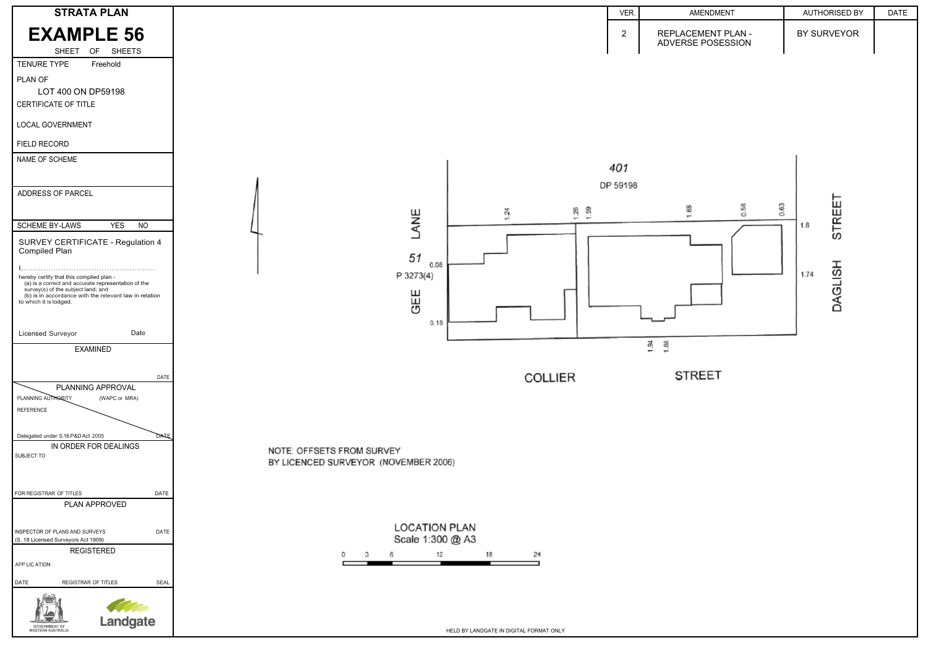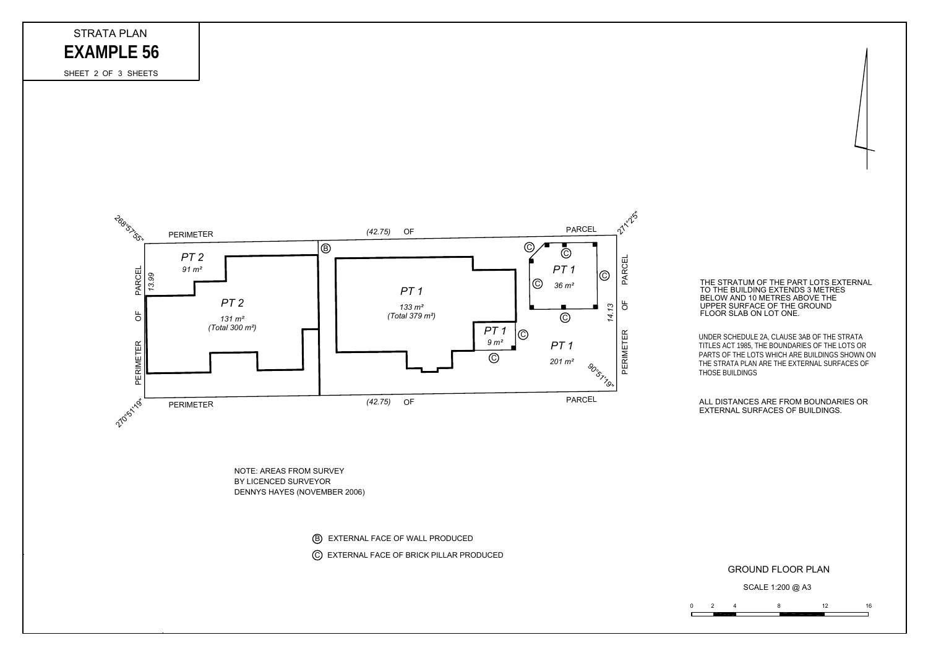## GROUND FLOOR PLAN

EXTERNAL SURFACES OF BUILDINGS. ALL DISTANCES ARE FROM BOUNDARIES OR

FLOOR SLAB ON LOT ONE. UPPER SURFACE OF THE GROUND BELOW AND 10 METRES ABOVE THE TO THE BUILDING EXTENDS 3 METRES THE STRATUM OF THE PART LOTS EXTERNAL

THOSE BUILDINGS THE STRATA PLAN ARE THE EXTERNAL SURFACES OF PARTS OF THE LOTS WHICH ARE BUILDINGS SHOWN ON  $\,$ TITLES ACT 1985, THE BOUNDARIES OF THE LOTS OR UNDER SCHEDULE 2A, CLAUSE 3AB OF THE STRATA



SCALE 1:200 @ A3